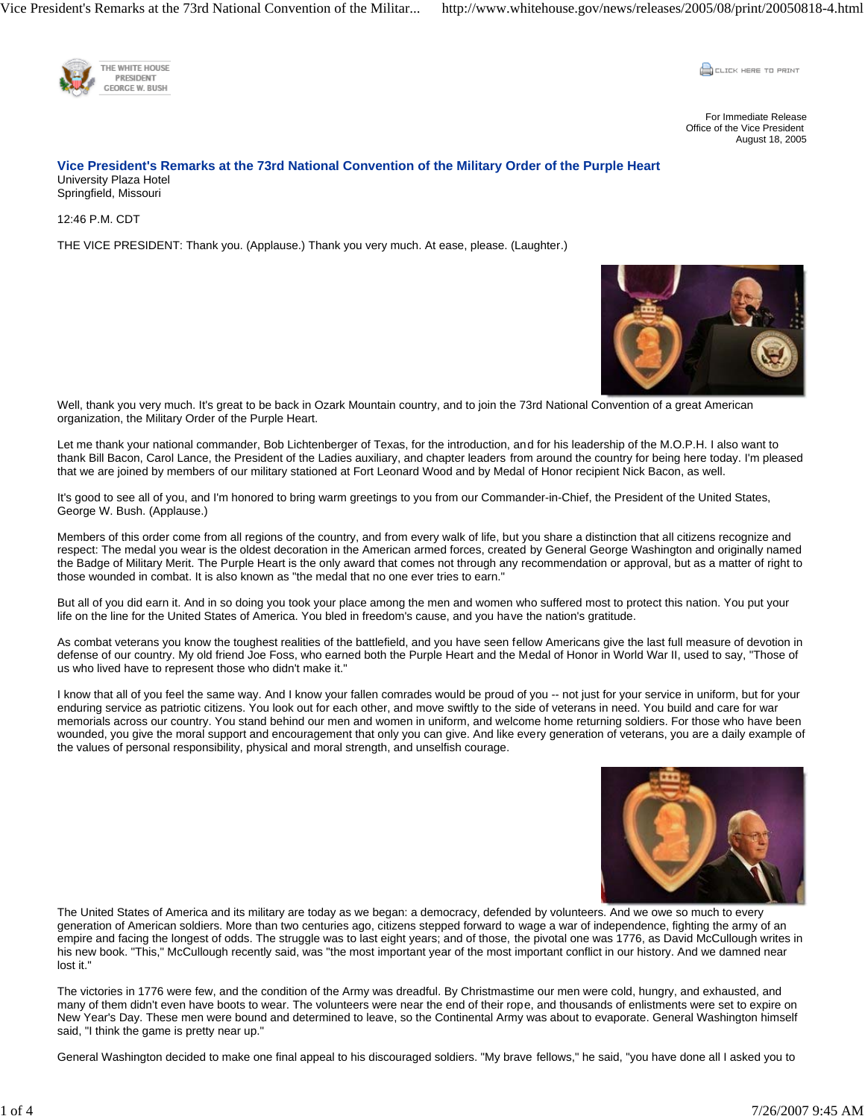Vice President's Remarks at the 73rd National Convention of the Militar... http://www.whitehouse.gov/news/releases/2005/08/print/20050818-4.html



**CLICK HERE TO PRINT** 

For Immediate Release Office of the Vice President August 18, 2005

## **Vice President's Remarks at the 73rd National Convention of the Military Order of the Purple Heart**  University Plaza Hotel Springfield, Missouri

12:46 P.M. CDT

THE VICE PRESIDENT: Thank you. (Applause.) Thank you very much. At ease, please. (Laughter.)



Well, thank you very much. It's great to be back in Ozark Mountain country, and to join the 73rd National Convention of a great American organization, the Military Order of the Purple Heart.

Let me thank your national commander, Bob Lichtenberger of Texas, for the introduction, and for his leadership of the M.O.P.H. I also want to thank Bill Bacon, Carol Lance, the President of the Ladies auxiliary, and chapter leaders from around the country for being here today. I'm pleased that we are joined by members of our military stationed at Fort Leonard Wood and by Medal of Honor recipient Nick Bacon, as well.

It's good to see all of you, and I'm honored to bring warm greetings to you from our Commander-in-Chief, the President of the United States, George W. Bush. (Applause.)

Members of this order come from all regions of the country, and from every walk of life, but you share a distinction that all citizens recognize and respect: The medal you wear is the oldest decoration in the American armed forces, created by General George Washington and originally named the Badge of Military Merit. The Purple Heart is the only award that comes not through any recommendation or approval, but as a matter of right to those wounded in combat. It is also known as "the medal that no one ever tries to earn."

But all of you did earn it. And in so doing you took your place among the men and women who suffered most to protect this nation. You put your life on the line for the United States of America. You bled in freedom's cause, and you have the nation's gratitude.

As combat veterans you know the toughest realities of the battlefield, and you have seen fellow Americans give the last full measure of devotion in defense of our country. My old friend Joe Foss, who earned both the Purple Heart and the Medal of Honor in World War II, used to say, "Those of us who lived have to represent those who didn't make it."

I know that all of you feel the same way. And I know your fallen comrades would be proud of you -- not just for your service in uniform, but for your enduring service as patriotic citizens. You look out for each other, and move swiftly to the side of veterans in need. You build and care for war memorials across our country. You stand behind our men and women in uniform, and welcome home returning soldiers. For those who have been wounded, you give the moral support and encouragement that only you can give. And like every generation of veterans, you are a daily example of the values of personal responsibility, physical and moral strength, and unselfish courage.



The United States of America and its military are today as we began: a democracy, defended by volunteers. And we owe so much to every generation of American soldiers. More than two centuries ago, citizens stepped forward to wage a war of independence, fighting the army of an empire and facing the longest of odds. The struggle was to last eight years; and of those, the pivotal one was 1776, as David McCullough writes in his new book. "This," McCullough recently said, was "the most important year of the most important conflict in our history. And we damned near lost it."

The victories in 1776 were few, and the condition of the Army was dreadful. By Christmastime our men were cold, hungry, and exhausted, and many of them didn't even have boots to wear. The volunteers were near the end of their rope, and thousands of enlistments were set to expire on New Year's Day. These men were bound and determined to leave, so the Continental Army was about to evaporate. General Washington himself said, "I think the game is pretty near up."

General Washington decided to make one final appeal to his discouraged soldiers. "My brave fellows," he said, "you have done all I asked you to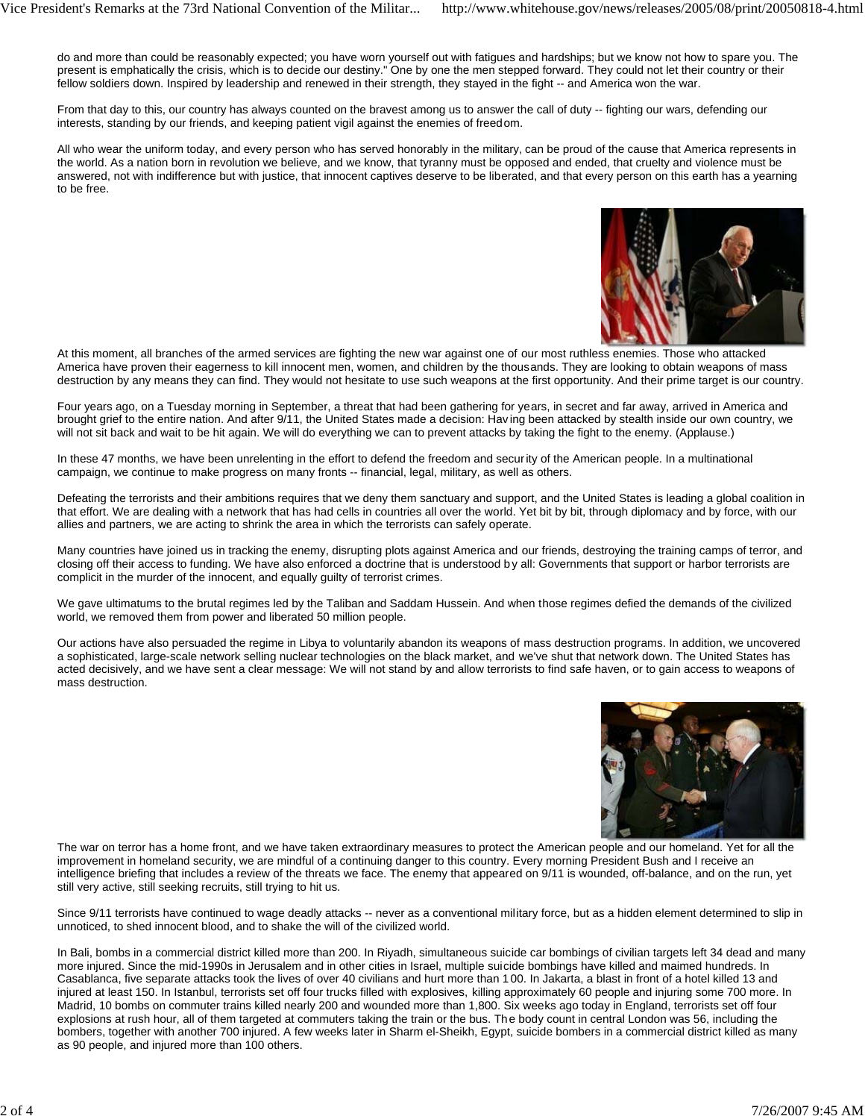do and more than could be reasonably expected; you have worn yourself out with fatigues and hardships; but we know not how to spare you. The present is emphatically the crisis, which is to decide our destiny." One by one the men stepped forward. They could not let their country or their fellow soldiers down. Inspired by leadership and renewed in their strength, they stayed in the fight -- and America won the war.

From that day to this, our country has always counted on the bravest among us to answer the call of duty -- fighting our wars, defending our interests, standing by our friends, and keeping patient vigil against the enemies of freedom.

All who wear the uniform today, and every person who has served honorably in the military, can be proud of the cause that America represents in the world. As a nation born in revolution we believe, and we know, that tyranny must be opposed and ended, that cruelty and violence must be answered, not with indifference but with justice, that innocent captives deserve to be liberated, and that every person on this earth has a yearning to be free.



At this moment, all branches of the armed services are fighting the new war against one of our most ruthless enemies. Those who attacked America have proven their eagerness to kill innocent men, women, and children by the thousands. They are looking to obtain weapons of mass destruction by any means they can find. They would not hesitate to use such weapons at the first opportunity. And their prime target is our country.

Four years ago, on a Tuesday morning in September, a threat that had been gathering for years, in secret and far away, arrived in America and brought grief to the entire nation. And after 9/11, the United States made a decision: Having been attacked by stealth inside our own country, we will not sit back and wait to be hit again. We will do everything we can to prevent attacks by taking the fight to the enemy. (Applause.)

In these 47 months, we have been unrelenting in the effort to defend the freedom and security of the American people. In a multinational campaign, we continue to make progress on many fronts -- financial, legal, military, as well as others.

Defeating the terrorists and their ambitions requires that we deny them sanctuary and support, and the United States is leading a global coalition in that effort. We are dealing with a network that has had cells in countries all over the world. Yet bit by bit, through diplomacy and by force, with our allies and partners, we are acting to shrink the area in which the terrorists can safely operate.

Many countries have joined us in tracking the enemy, disrupting plots against America and our friends, destroying the training camps of terror, and closing off their access to funding. We have also enforced a doctrine that is understood by all: Governments that support or harbor terrorists are complicit in the murder of the innocent, and equally guilty of terrorist crimes.

We gave ultimatums to the brutal regimes led by the Taliban and Saddam Hussein. And when those regimes defied the demands of the civilized world, we removed them from power and liberated 50 million people.

Our actions have also persuaded the regime in Libya to voluntarily abandon its weapons of mass destruction programs. In addition, we uncovered a sophisticated, large-scale network selling nuclear technologies on the black market, and we've shut that network down. The United States has acted decisively, and we have sent a clear message: We will not stand by and allow terrorists to find safe haven, or to gain access to weapons of mass destruction.



The war on terror has a home front, and we have taken extraordinary measures to protect the American people and our homeland. Yet for all the improvement in homeland security, we are mindful of a continuing danger to this country. Every morning President Bush and I receive an intelligence briefing that includes a review of the threats we face. The enemy that appeared on 9/11 is wounded, off-balance, and on the run, yet still very active, still seeking recruits, still trying to hit us.

Since 9/11 terrorists have continued to wage deadly attacks -- never as a conventional military force, but as a hidden element determined to slip in unnoticed, to shed innocent blood, and to shake the will of the civilized world.

In Bali, bombs in a commercial district killed more than 200. In Riyadh, simultaneous suicide car bombings of civilian targets left 34 dead and many more injured. Since the mid-1990s in Jerusalem and in other cities in Israel, multiple suicide bombings have killed and maimed hundreds. In Casablanca, five separate attacks took the lives of over 40 civilians and hurt more than 1 00. In Jakarta, a blast in front of a hotel killed 13 and injured at least 150. In Istanbul, terrorists set off four trucks filled with explosives, killing approximately 60 people and injuring some 700 more. In Madrid, 10 bombs on commuter trains killed nearly 200 and wounded more than 1,800. Six weeks ago today in England, terrorists set off four explosions at rush hour, all of them targeted at commuters taking the train or the bus. The body count in central London was 56, including the bombers, together with another 700 injured. A few weeks later in Sharm el-Sheikh, Egypt, suicide bombers in a commercial district killed as many as 90 people, and injured more than 100 others.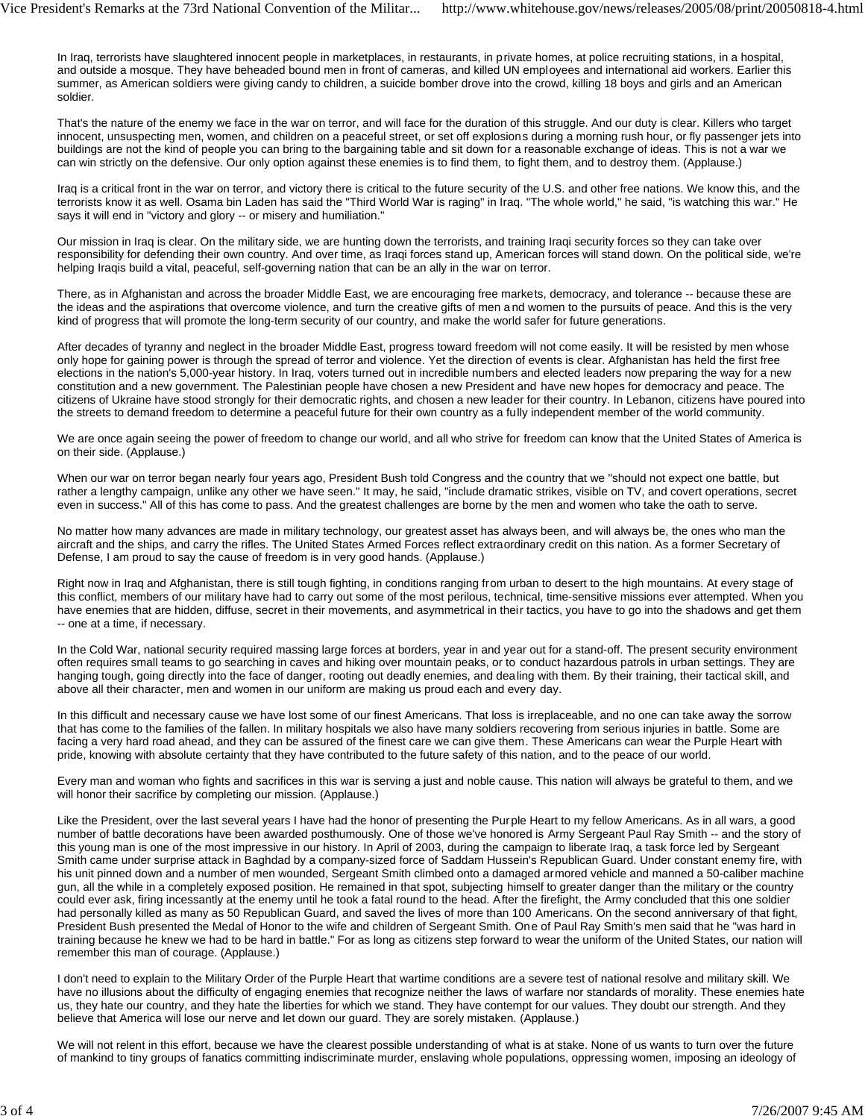In Iraq, terrorists have slaughtered innocent people in marketplaces, in restaurants, in private homes, at police recruiting stations, in a hospital, and outside a mosque. They have beheaded bound men in front of cameras, and killed UN employees and international aid workers. Earlier this summer, as American soldiers were giving candy to children, a suicide bomber drove into the crowd, killing 18 boys and girls and an American soldier.

That's the nature of the enemy we face in the war on terror, and will face for the duration of this struggle. And our duty is clear. Killers who target innocent, unsuspecting men, women, and children on a peaceful street, or set off explosions during a morning rush hour, or fly passenger jets into buildings are not the kind of people you can bring to the bargaining table and sit down for a reasonable exchange of ideas. This is not a war we can win strictly on the defensive. Our only option against these enemies is to find them, to fight them, and to destroy them. (Applause.)

Iraq is a critical front in the war on terror, and victory there is critical to the future security of the U.S. and other free nations. We know this, and the terrorists know it as well. Osama bin Laden has said the "Third World War is raging" in Iraq. "The whole world," he said, "is watching this war." He says it will end in "victory and glory -- or misery and humiliation."

Our mission in Iraq is clear. On the military side, we are hunting down the terrorists, and training Iraqi security forces so they can take over responsibility for defending their own country. And over time, as Iraqi forces stand up, American forces will stand down. On the political side, we're helping Iraqis build a vital, peaceful, self-governing nation that can be an ally in the war on terror.

There, as in Afghanistan and across the broader Middle East, we are encouraging free markets, democracy, and tolerance -- because these are the ideas and the aspirations that overcome violence, and turn the creative gifts of men a nd women to the pursuits of peace. And this is the very kind of progress that will promote the long-term security of our country, and make the world safer for future generations.

After decades of tyranny and neglect in the broader Middle East, progress toward freedom will not come easily. It will be resisted by men whose only hope for gaining power is through the spread of terror and violence. Yet the direction of events is clear. Afghanistan has held the first free elections in the nation's 5,000-year history. In Iraq, voters turned out in incredible numbers and elected leaders now preparing the way for a new constitution and a new government. The Palestinian people have chosen a new President and have new hopes for democracy and peace. The citizens of Ukraine have stood strongly for their democratic rights, and chosen a new leader for their country. In Lebanon, citizens have poured into the streets to demand freedom to determine a peaceful future for their own country as a fully independent member of the world community.

We are once again seeing the power of freedom to change our world, and all who strive for freedom can know that the United States of America is on their side. (Applause.)

When our war on terror began nearly four years ago, President Bush told Congress and the country that we "should not expect one battle, but rather a lengthy campaign, unlike any other we have seen." It may, he said, "include dramatic strikes, visible on TV, and covert operations, secret even in success." All of this has come to pass. And the greatest challenges are borne by the men and women who take the oath to serve.

No matter how many advances are made in military technology, our greatest asset has always been, and will always be, the ones who man the aircraft and the ships, and carry the rifles. The United States Armed Forces reflect extraordinary credit on this nation. As a former Secretary of Defense, I am proud to say the cause of freedom is in very good hands. (Applause.)

Right now in Iraq and Afghanistan, there is still tough fighting, in conditions ranging from urban to desert to the high mountains. At every stage of this conflict, members of our military have had to carry out some of the most perilous, technical, time-sensitive missions ever attempted. When you have enemies that are hidden, diffuse, secret in their movements, and asymmetrical in their tactics, you have to go into the shadows and get them -- one at a time, if necessary.

In the Cold War, national security required massing large forces at borders, year in and year out for a stand-off. The present security environment often requires small teams to go searching in caves and hiking over mountain peaks, or to conduct hazardous patrols in urban settings. They are hanging tough, going directly into the face of danger, rooting out deadly enemies, and dealing with them. By their training, their tactical skill, and above all their character, men and women in our uniform are making us proud each and every day.

In this difficult and necessary cause we have lost some of our finest Americans. That loss is irreplaceable, and no one can take away the sorrow that has come to the families of the fallen. In military hospitals we also have many soldiers recovering from serious injuries in battle. Some are facing a very hard road ahead, and they can be assured of the finest care we can give them. These Americans can wear the Purple Heart with pride, knowing with absolute certainty that they have contributed to the future safety of this nation, and to the peace of our world.

Every man and woman who fights and sacrifices in this war is serving a just and noble cause. This nation will always be grateful to them, and we will honor their sacrifice by completing our mission. (Applause.)

Like the President, over the last several years I have had the honor of presenting the Purple Heart to my fellow Americans. As in all wars, a good number of battle decorations have been awarded posthumously. One of those we've honored is Army Sergeant Paul Ray Smith -- and the story of this young man is one of the most impressive in our history. In April of 2003, during the campaign to liberate Iraq, a task force led by Sergeant Smith came under surprise attack in Baghdad by a company-sized force of Saddam Hussein's Republican Guard. Under constant enemy fire, with his unit pinned down and a number of men wounded, Sergeant Smith climbed onto a damaged armored vehicle and manned a 50-caliber machine gun, all the while in a completely exposed position. He remained in that spot, subjecting himself to greater danger than the military or the country could ever ask, firing incessantly at the enemy until he took a fatal round to the head. After the firefight, the Army concluded that this one soldier had personally killed as many as 50 Republican Guard, and saved the lives of more than 100 Americans. On the second anniversary of that fight, President Bush presented the Medal of Honor to the wife and children of Sergeant Smith. One of Paul Ray Smith's men said that he "was hard in training because he knew we had to be hard in battle." For as long as citizens step forward to wear the uniform of the United States, our nation will remember this man of courage. (Applause.)

I don't need to explain to the Military Order of the Purple Heart that wartime conditions are a severe test of national resolve and military skill. We have no illusions about the difficulty of engaging enemies that recognize neither the laws of warfare nor standards of morality. These enemies hate us, they hate our country, and they hate the liberties for which we stand. They have contempt for our values. They doubt our strength. And they believe that America will lose our nerve and let down our guard. They are sorely mistaken. (Applause.)

We will not relent in this effort, because we have the clearest possible understanding of what is at stake. None of us wants to turn over the future of mankind to tiny groups of fanatics committing indiscriminate murder, enslaving whole populations, oppressing women, imposing an ideology of